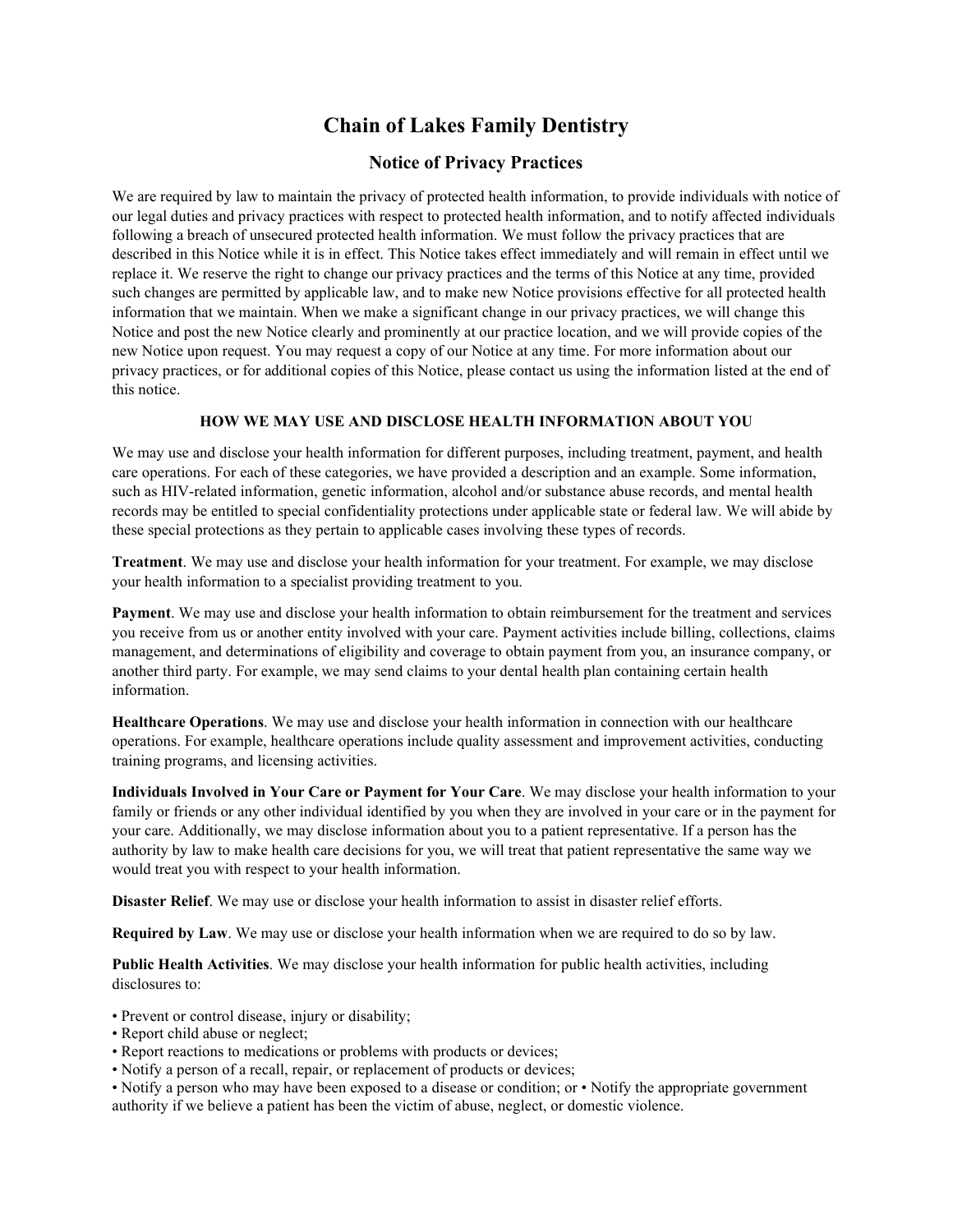## **Chain of Lakes Family Dentistry**

## **Notice of Privacy Practices**

We are required by law to maintain the privacy of protected health information, to provide individuals with notice of our legal duties and privacy practices with respect to protected health information, and to notify affected individuals following a breach of unsecured protected health information. We must follow the privacy practices that are described in this Notice while it is in effect. This Notice takes effect immediately and will remain in effect until we replace it. We reserve the right to change our privacy practices and the terms of this Notice at any time, provided such changes are permitted by applicable law, and to make new Notice provisions effective for all protected health information that we maintain. When we make a significant change in our privacy practices, we will change this Notice and post the new Notice clearly and prominently at our practice location, and we will provide copies of the new Notice upon request. You may request a copy of our Notice at any time. For more information about our privacy practices, or for additional copies of this Notice, please contact us using the information listed at the end of this notice.

## **HOW WE MAY USE AND DISCLOSE HEALTH INFORMATION ABOUT YOU**

We may use and disclose your health information for different purposes, including treatment, payment, and health care operations. For each of these categories, we have provided a description and an example. Some information, such as HIV-related information, genetic information, alcohol and/or substance abuse records, and mental health records may be entitled to special confidentiality protections under applicable state or federal law. We will abide by these special protections as they pertain to applicable cases involving these types of records.

**Treatment**. We may use and disclose your health information for your treatment. For example, we may disclose your health information to a specialist providing treatment to you.

**Payment**. We may use and disclose your health information to obtain reimbursement for the treatment and services you receive from us or another entity involved with your care. Payment activities include billing, collections, claims management, and determinations of eligibility and coverage to obtain payment from you, an insurance company, or another third party. For example, we may send claims to your dental health plan containing certain health information.

**Healthcare Operations**. We may use and disclose your health information in connection with our healthcare operations. For example, healthcare operations include quality assessment and improvement activities, conducting training programs, and licensing activities.

**Individuals Involved in Your Care or Payment for Your Care**. We may disclose your health information to your family or friends or any other individual identified by you when they are involved in your care or in the payment for your care. Additionally, we may disclose information about you to a patient representative. If a person has the authority by law to make health care decisions for you, we will treat that patient representative the same way we would treat you with respect to your health information.

**Disaster Relief**. We may use or disclose your health information to assist in disaster relief efforts.

**Required by Law**. We may use or disclose your health information when we are required to do so by law.

**Public Health Activities**. We may disclose your health information for public health activities, including disclosures to:

- Prevent or control disease, injury or disability;
- Report child abuse or neglect;
- Report reactions to medications or problems with products or devices;
- Notify a person of a recall, repair, or replacement of products or devices;

• Notify a person who may have been exposed to a disease or condition; or • Notify the appropriate government authority if we believe a patient has been the victim of abuse, neglect, or domestic violence.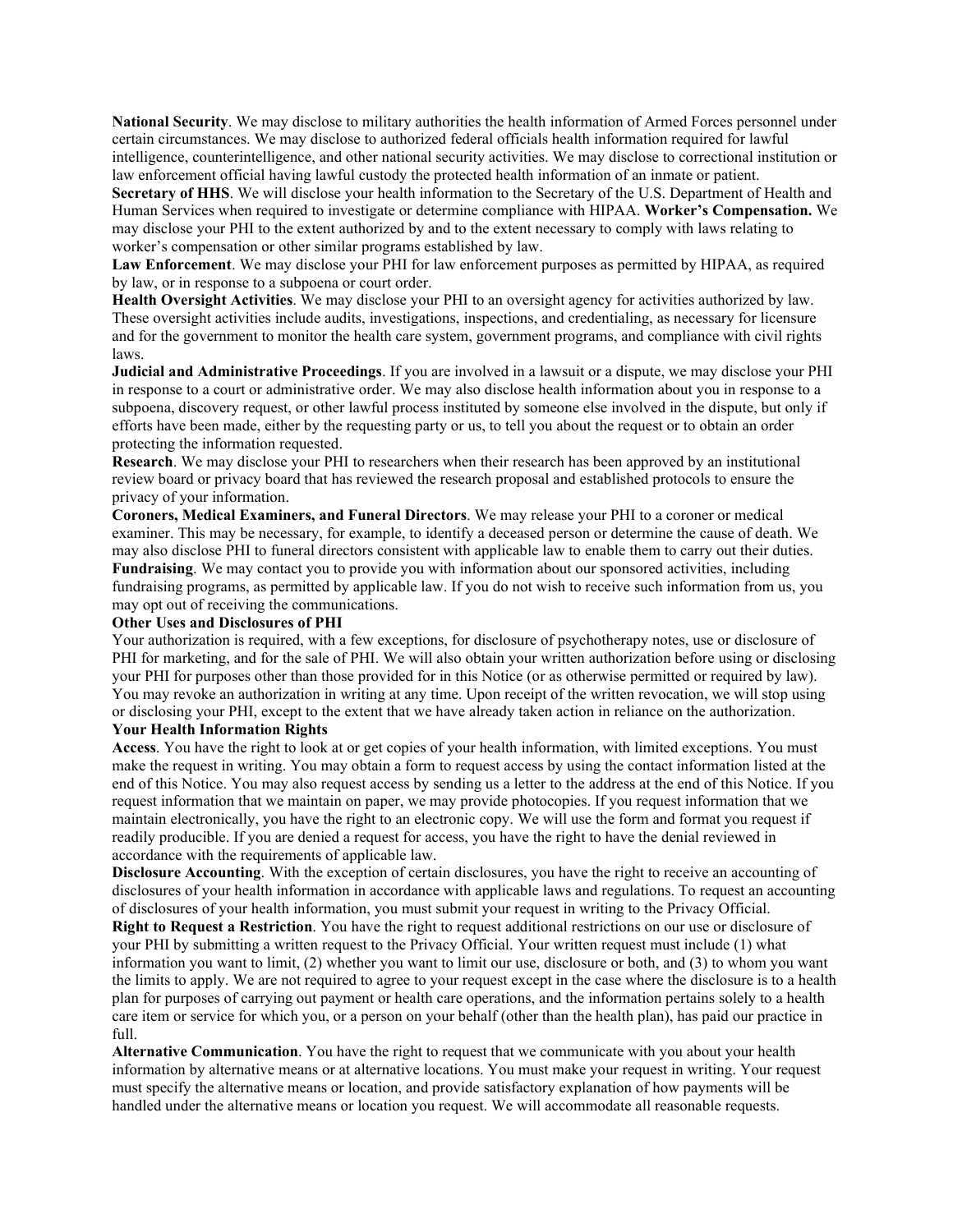**National Security**. We may disclose to military authorities the health information of Armed Forces personnel under certain circumstances. We may disclose to authorized federal officials health information required for lawful intelligence, counterintelligence, and other national security activities. We may disclose to correctional institution or law enforcement official having lawful custody the protected health information of an inmate or patient.

**Secretary of HHS**. We will disclose your health information to the Secretary of the U.S. Department of Health and Human Services when required to investigate or determine compliance with HIPAA. **Worker's Compensation.** We may disclose your PHI to the extent authorized by and to the extent necessary to comply with laws relating to worker's compensation or other similar programs established by law.

**Law Enforcement**. We may disclose your PHI for law enforcement purposes as permitted by HIPAA, as required by law, or in response to a subpoena or court order.

**Health Oversight Activities**. We may disclose your PHI to an oversight agency for activities authorized by law. These oversight activities include audits, investigations, inspections, and credentialing, as necessary for licensure and for the government to monitor the health care system, government programs, and compliance with civil rights laws.

**Judicial and Administrative Proceedings**. If you are involved in a lawsuit or a dispute, we may disclose your PHI in response to a court or administrative order. We may also disclose health information about you in response to a subpoena, discovery request, or other lawful process instituted by someone else involved in the dispute, but only if efforts have been made, either by the requesting party or us, to tell you about the request or to obtain an order protecting the information requested.

**Research**. We may disclose your PHI to researchers when their research has been approved by an institutional review board or privacy board that has reviewed the research proposal and established protocols to ensure the privacy of your information.

**Coroners, Medical Examiners, and Funeral Directors**. We may release your PHI to a coroner or medical examiner. This may be necessary, for example, to identify a deceased person or determine the cause of death. We may also disclose PHI to funeral directors consistent with applicable law to enable them to carry out their duties. **Fundraising**. We may contact you to provide you with information about our sponsored activities, including fundraising programs, as permitted by applicable law. If you do not wish to receive such information from us, you may opt out of receiving the communications.

## **Other Uses and Disclosures of PHI**

Your authorization is required, with a few exceptions, for disclosure of psychotherapy notes, use or disclosure of PHI for marketing, and for the sale of PHI. We will also obtain your written authorization before using or disclosing your PHI for purposes other than those provided for in this Notice (or as otherwise permitted or required by law). You may revoke an authorization in writing at any time. Upon receipt of the written revocation, we will stop using or disclosing your PHI, except to the extent that we have already taken action in reliance on the authorization. **Your Health Information Rights**

**Access**. You have the right to look at or get copies of your health information, with limited exceptions. You must make the request in writing. You may obtain a form to request access by using the contact information listed at the end of this Notice. You may also request access by sending us a letter to the address at the end of this Notice. If you request information that we maintain on paper, we may provide photocopies. If you request information that we maintain electronically, you have the right to an electronic copy. We will use the form and format you request if readily producible. If you are denied a request for access, you have the right to have the denial reviewed in accordance with the requirements of applicable law.

**Disclosure Accounting**. With the exception of certain disclosures, you have the right to receive an accounting of disclosures of your health information in accordance with applicable laws and regulations. To request an accounting of disclosures of your health information, you must submit your request in writing to the Privacy Official.

**Right to Request a Restriction**. You have the right to request additional restrictions on our use or disclosure of your PHI by submitting a written request to the Privacy Official. Your written request must include (1) what information you want to limit, (2) whether you want to limit our use, disclosure or both, and (3) to whom you want the limits to apply. We are not required to agree to your request except in the case where the disclosure is to a health plan for purposes of carrying out payment or health care operations, and the information pertains solely to a health care item or service for which you, or a person on your behalf (other than the health plan), has paid our practice in full.

**Alternative Communication**. You have the right to request that we communicate with you about your health information by alternative means or at alternative locations. You must make your request in writing. Your request must specify the alternative means or location, and provide satisfactory explanation of how payments will be handled under the alternative means or location you request. We will accommodate all reasonable requests.